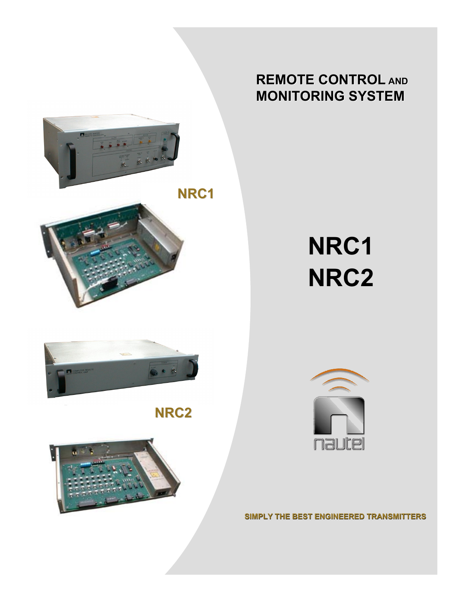

## **REMOTE CONTROL REMOTE CONTROL AND MONITORING SYSTEM**

# **NRC1 NRC2**









**SIMPLY THE BEST ENGINEERED TRANSMITTERS**